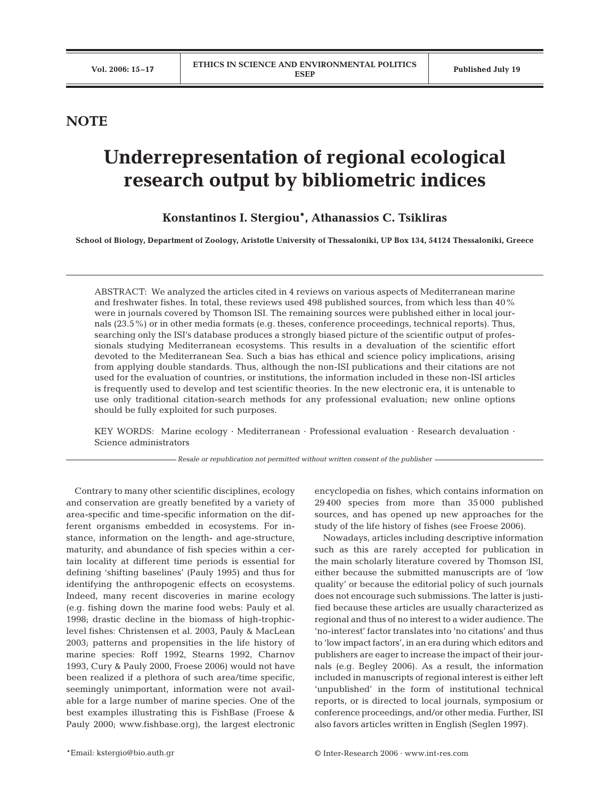## **NOTE**

## **Underrepresentation of regional ecological research output by bibliometric indices**

## **Konstantinos I. Stergiou\*, Athanassios C. Tsikliras**

**School of Biology, Department of Zoology, Aristotle University of Thessaloniki, UP Box 134, 54124 Thessaloniki, Greece**

ABSTRACT: We analyzed the articles cited in 4 reviews on various aspects of Mediterranean marine and freshwater fishes. In total, these reviews used 498 published sources, from which less than 40% were in journals covered by Thomson ISI. The remaining sources were published either in local journals (23.5%) or in other media formats (e.g. theses, conference proceedings, technical reports). Thus, searching only the ISI's database produces a strongly biased picture of the scientific output of professionals studying Mediterranean ecosystems. This results in a devaluation of the scientific effort devoted to the Mediterranean Sea. Such a bias has ethical and science policy implications, arising from applying double standards. Thus, although the non-ISI publications and their citations are not used for the evaluation of countries, or institutions, the information included in these non-ISI articles is frequently used to develop and test scientific theories. In the new electronic era, it is untenable to use only traditional citation-search methods for any professional evaluation; new online options should be fully exploited for such purposes.

KEY WORDS: Marine ecology · Mediterranean · Professional evaluation · Research devaluation · Science administrators

*Resale or republication not permitted without written consent of the publisher*

Contrary to many other scientific disciplines, ecology and conservation are greatly benefited by a variety of area-specific and time-specific information on the different organisms embedded in ecosystems. For instance, information on the length- and age-structure, maturity, and abundance of fish species within a certain locality at different time periods is essential for defining 'shifting baselines' (Pauly 1995) and thus for identifying the anthropogenic effects on ecosystems. Indeed, many recent discoveries in marine ecology (e.g. fishing down the marine food webs: Pauly et al. 1998; drastic decline in the biomass of high-trophiclevel fishes: Christensen et al. 2003, Pauly & MacLean 2003; patterns and propensities in the life history of marine species: Roff 1992, Stearns 1992, Charnov 1993, Cury & Pauly 2000, Froese 2006) would not have been realized if a plethora of such area/time specific, seemingly unimportant, information were not available for a large number of marine species. One of the best examples illustrating this is FishBase (Froese & Pauly 2000; www.fishbase.org), the largest electronic encyclopedia on fishes, which contains information on 29 400 species from more than 35 000 published sources, and has opened up new approaches for the study of the life history of fishes (see Froese 2006).

Nowadays, articles including descriptive information such as this are rarely accepted for publication in the main scholarly literature covered by Thomson ISI, either because the submitted manuscripts are of 'low quality' or because the editorial policy of such journals does not encourage such submissions. The latter is justified because these articles are usually characterized as regional and thus of no interest to a wider audience. The 'no-interest' factor translates into 'no citations' and thus to 'low impact factors', in an era during which editors and publishers are eager to increase the impact of their journals (e.g. Begley 2006). As a result, the information included in manuscripts of regional interest is either left 'unpublished' in the form of institutional technical reports, or is directed to local journals, symposium or conference proceedings, and/or other media. Further, ISI also favors articles written in English (Seglen 1997).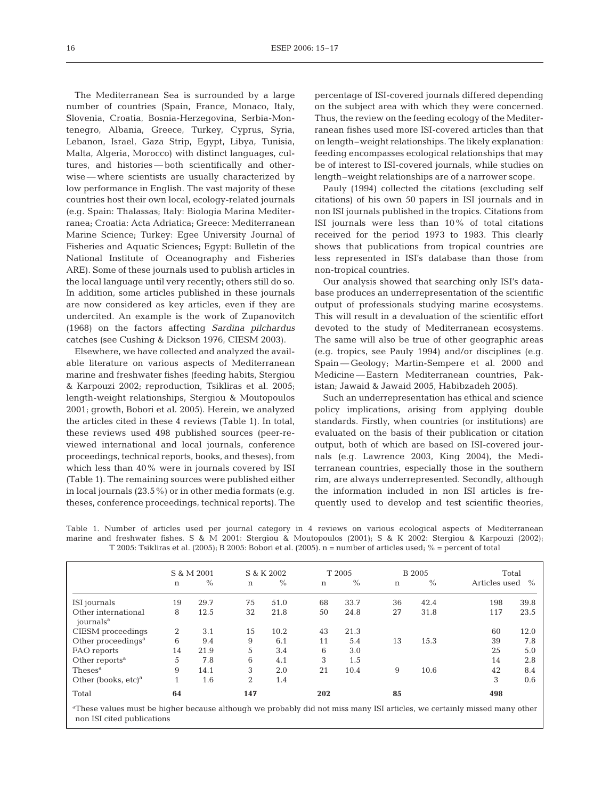The Mediterranean Sea is surrounded by a large number of countries (Spain, France, Monaco, Italy, Slovenia, Croatia, Bosnia-Herzegovina, Serbia-Montenegro, Albania, Greece, Turkey, Cyprus, Syria, Lebanon, Israel, Gaza Strip, Egypt, Libya, Tunisia, Malta, Algeria, Morocco) with distinct languages, cultures, and histories — both scientifically and otherwise — where scientists are usually characterized by low performance in English. The vast majority of these countries host their own local, ecology-related journals (e.g. Spain: Thalassas; Italy: Biologia Marina Mediterranea; Croatia: Acta Adriatica; Greece: Mediterranean Marine Science; Turkey: Egee University Journal of Fisheries and Aquatic Sciences; Egypt: Bulletin of the National Institute of Oceanography and Fisheries ARE). Some of these journals used to publish articles in the local language until very recently; others still do so. In addition, some articles published in these journals are now considered as key articles, even if they are undercited. An example is the work of Zupanovitch (1968) on the factors affecting *Sardina pilchardus* catches (see Cushing & Dickson 1976, CIESM 2003).

Elsewhere, we have collected and analyzed the available literature on various aspects of Mediterranean marine and freshwater fishes (feeding habits, Stergiou & Karpouzi 2002; reproduction, Tsikliras et al. 2005; length-weight relationships, Stergiou & Moutopoulos 2001; growth, Bobori et al. 2005). Herein, we analyzed the articles cited in these 4 reviews (Table 1). In total, these reviews used 498 published sources (peer-reviewed international and local journals, conference proceedings, technical reports, books, and theses), from which less than 40% were in journals covered by ISI (Table 1). The remaining sources were published either in local journals (23.5%) or in other media formats (e.g. theses, conference proceedings, technical reports). The

percentage of ISI-covered journals differed depending on the subject area with which they were concerned. Thus, the review on the feeding ecology of the Mediterranean fishes used more ISI-covered articles than that on length–weight relationships. The likely explanation: feeding encompasses ecological relationships that may be of interest to ISI-covered journals, while studies on length–weight relationships are of a narrower scope.

Pauly (1994) collected the citations (excluding self citations) of his own 50 papers in ISI journals and in non ISI journals published in the tropics. Citations from ISI journals were less than 10% of total citations received for the period 1973 to 1983. This clearly shows that publications from tropical countries are less represented in ISI's database than those from non-tropical countries.

Our analysis showed that searching only ISI's database produces an underrepresentation of the scientific output of professionals studying marine ecosystems. This will result in a devaluation of the scientific effort devoted to the study of Mediterranean ecosystems. The same will also be true of other geographic areas (e.g. tropics, see Pauly 1994) and/or disciplines (e.g. Spain — Geology; Martin-Sempere et al. 2000 and Medicine — Eastern Mediterranean countries, Pakistan; Jawaid & Jawaid 2005, Habibzadeh 2005).

Such an underrepresentation has ethical and science policy implications, arising from applying double standards. Firstly, when countries (or institutions) are evaluated on the basis of their publication or citation output, both of which are based on ISI-covered journals (e.g. Lawrence 2003, King 2004), the Mediterranean countries, especially those in the southern rim, are always underrepresented. Secondly, although the information included in non ISI articles is frequently used to develop and test scientific theories,

Table 1. Number of articles used per journal category in 4 reviews on various ecological aspects of Mediterranean marine and freshwater fishes. S & M 2001: Stergiou & Moutopoulos (2001); S & K 2002: Stergiou & Karpouzi (2002); T 2005: Tsikliras et al. (2005); B 2005: Bobori et al. (2005). n = number of articles used; % = percent of total

|                                              | S & M 2001 |      | S & K 2002 |      | T 2005      |      | B 2005 |      | Total         |               |
|----------------------------------------------|------------|------|------------|------|-------------|------|--------|------|---------------|---------------|
|                                              | n          | $\%$ | n          | $\%$ | $\mathbf n$ | $\%$ | n      | $\%$ | Articles used | $\frac{0}{6}$ |
| ISI journals                                 | 19         | 29.7 | 75         | 51.0 | 68          | 33.7 | 36     | 42.4 | 198           | 39.8          |
| Other international<br>journals <sup>a</sup> | 8          | 12.5 | 32         | 21.8 | 50          | 24.8 | 27     | 31.8 | 117           | 23.5          |
| CIESM proceedings                            | 2          | 3.1  | 15         | 10.2 | 43          | 21.3 |        |      | 60            | 12.0          |
| Other proceedings <sup>a</sup>               | 6          | 9.4  | 9          | 6.1  | 11          | 5.4  | 13     | 15.3 | 39            | 7.8           |
| FAO reports                                  | 14         | 21.9 | 5          | 3.4  | 6           | 3.0  |        |      | 25            | 5.0           |
| Other reports <sup>a</sup>                   | 5          | 7.8  | 6          | 4.1  | 3           | 1.5  |        |      | 14            | 2.8           |
| Theses <sup>a</sup>                          | 9          | 14.1 | 3          | 2.0  | 21          | 10.4 | 9      | 10.6 | 42            | 8.4           |
| Other (books, etc) $\rm^a$                   |            | 1.6  | 2          | 1.4  |             |      |        |      | 3             | 0.6           |
| Total                                        | 64         |      | 147        |      | 202         |      | 85     |      | 498           |               |

These values must be higher because although we probably did not miss many ISI articles, we certainly missed many other non ISI cited publications